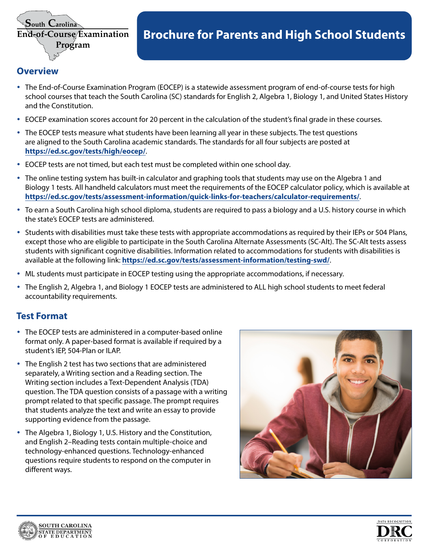

# **<u><b>of-Course Examination**</u> Brochure for Parents and High School Students</u>

### **Overview**

- The End-of-Course Examination Program (EOCEP) is a statewide assessment program of end-of-course tests for high school courses that teach the South Carolina (SC) standards for English 2, Algebra 1, Biology 1, and United States History and the Constitution.
- EOCEP examination scores account for 20 percent in the calculation of the student's final grade in these courses.
- The EOCEP tests measure what students have been learning all year in these subjects. The test questions are aligned to the South Carolina academic standards. The standards for all four subjects are posted at **<https://ed.sc.gov/tests/high/eocep/>**.
- EOCEP tests are not timed, but each test must be completed within one school day.
- The online testing system has built-in calculator and graphing tools that students may use on the Algebra 1 and Biology 1 tests. All handheld calculators must meet the requirements of the EOCEP calculator policy, which is available at **<https://ed.sc.gov/tests/assessment-information/quick-links-for-teachers/calculator-requirements/>**.
- y To earn a South Carolina high school diploma, students are required to pass a biology and a U.S. history course in which the state's EOCEP tests are administered.
- Students with disabilities must take these tests with appropriate accommodations as required by their IEPs or 504 Plans, except those who are eligible to participate in the South Carolina Alternate Assessments (SC-Alt). The SC-Alt tests assess students with significant cognitive disabilities. Information related to accommodations for students with disabilities is available at the following link: **<https://ed.sc.gov/tests/assessment-information/testing-swd/>**.
- ML students must participate in EOCEP testing using the appropriate accommodations, if necessary.
- y The English 2, Algebra 1, and Biology 1 EOCEP tests are administered to ALL high school students to meet federal accountability requirements.

## **Test Format**

- The EOCEP tests are administered in a computer-based online format only. A paper-based format is available if required by a student's IEP, 504-Plan or ILAP.
- The English 2 test has two sections that are administered separately, a Writing section and a Reading section. The Writing section includes a Text-Dependent Analysis (TDA) question. The TDA question consists of a passage with a writing prompt related to that specific passage. The prompt requires that students analyze the text and write an essay to provide supporting evidence from the passage.
- The Algebra 1, Biology 1, U.S. History and the Constitution, and English 2–Reading tests contain multiple-choice and technology-enhanced questions. Technology-enhanced questions require students to respond on the computer in different ways.